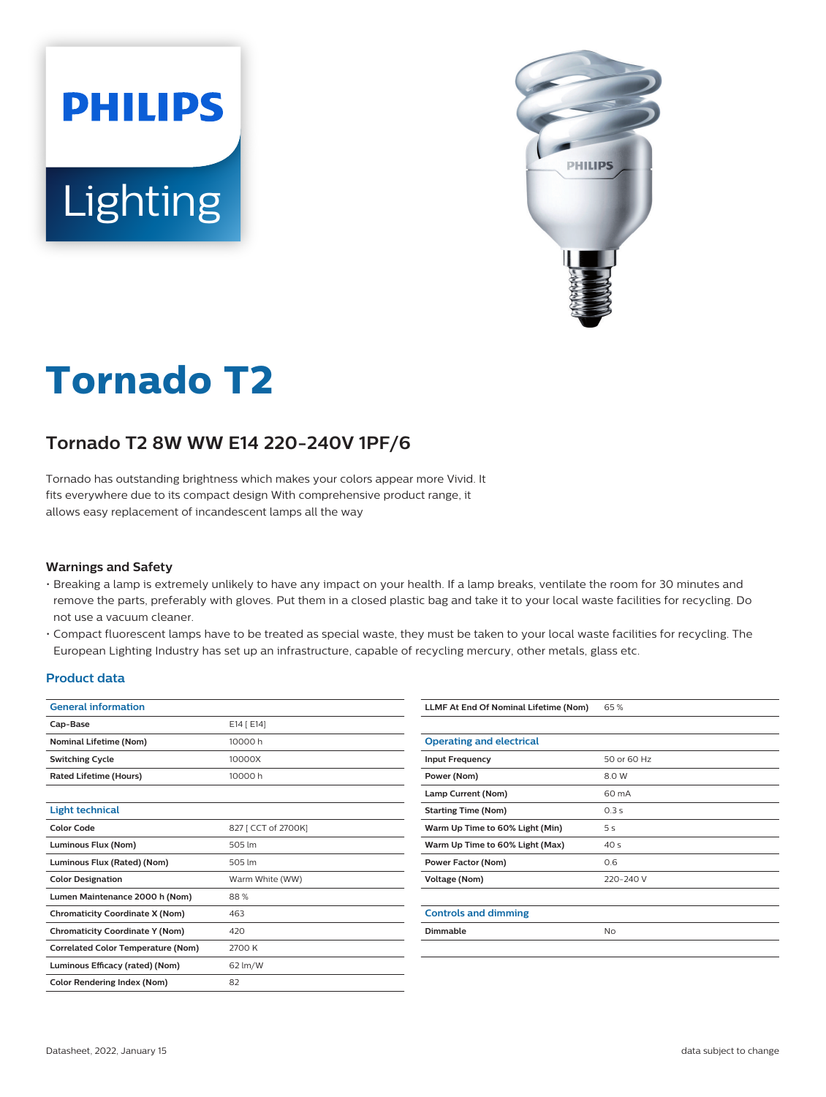



# **Tornado T2**

## **Tornado T2 8W WW E14 220-240V 1PF/6**

Tornado has outstanding brightness which makes your colors appear more Vivid. It fits everywhere due to its compact design With comprehensive product range, it allows easy replacement of incandescent lamps all the way

#### **Warnings and Safety**

- Breaking a lamp is extremely unlikely to have any impact on your health. If a lamp breaks, ventilate the room for 30 minutes and remove the parts, preferably with gloves. Put them in a closed plastic bag and take it to your local waste facilities for recycling. Do not use a vacuum cleaner.
- Compact fluorescent lamps have to be treated as special waste, they must be taken to your local waste facilities for recycling. The European Lighting Industry has set up an infrastructure, capable of recycling mercury, other metals, glass etc.

#### **Product data**

| <b>General information</b>                |                     |  |  |
|-------------------------------------------|---------------------|--|--|
| Cap-Base                                  | E14 [ E14]          |  |  |
| <b>Nominal Lifetime (Nom)</b>             | 10000 h             |  |  |
| <b>Switching Cycle</b>                    | 10000X              |  |  |
| <b>Rated Lifetime (Hours)</b>             | 10000 h             |  |  |
|                                           |                     |  |  |
| <b>Light technical</b>                    |                     |  |  |
| <b>Color Code</b>                         | 827 [ CCT of 2700K] |  |  |
| Luminous Flux (Nom)                       | 505 lm              |  |  |
| Luminous Flux (Rated) (Nom)               | 505 lm              |  |  |
| <b>Color Designation</b>                  | Warm White (WW)     |  |  |
| Lumen Maintenance 2000 h (Nom)            | 88%                 |  |  |
| <b>Chromaticity Coordinate X (Nom)</b>    | 463                 |  |  |
| <b>Chromaticity Coordinate Y (Nom)</b>    | 420                 |  |  |
| <b>Correlated Color Temperature (Nom)</b> | 2700 K              |  |  |
| Luminous Efficacy (rated) (Nom)           | 62 lm/W             |  |  |
| <b>Color Rendering Index (Nom)</b>        | 82                  |  |  |

| LLMF At End Of Nominal Lifetime (Nom) | 65%             |
|---------------------------------------|-----------------|
|                                       |                 |
| <b>Operating and electrical</b>       |                 |
| <b>Input Frequency</b>                | 50 or 60 Hz     |
| Power (Nom)                           | 8.0 W           |
| Lamp Current (Nom)                    | 60 mA           |
| <b>Starting Time (Nom)</b>            | 0.3s            |
| Warm Up Time to 60% Light (Min)       | 5 <sup>s</sup>  |
| Warm Up Time to 60% Light (Max)       | 40 <sub>s</sub> |
| <b>Power Factor (Nom)</b>             | 0.6             |
| <b>Voltage (Nom)</b>                  | 220-240 V       |
|                                       |                 |
| <b>Controls and dimming</b>           |                 |
| <b>Dimmable</b>                       | <b>No</b>       |
|                                       |                 |